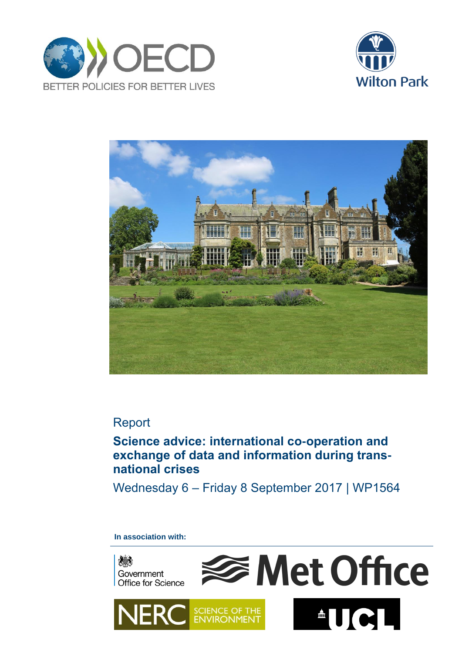





# Report

# **Science advice: international co-operation and exchange of data and information during transnational crises**

Wednesday 6 – Friday 8 September 2017 | WP1564

## **In association with:**

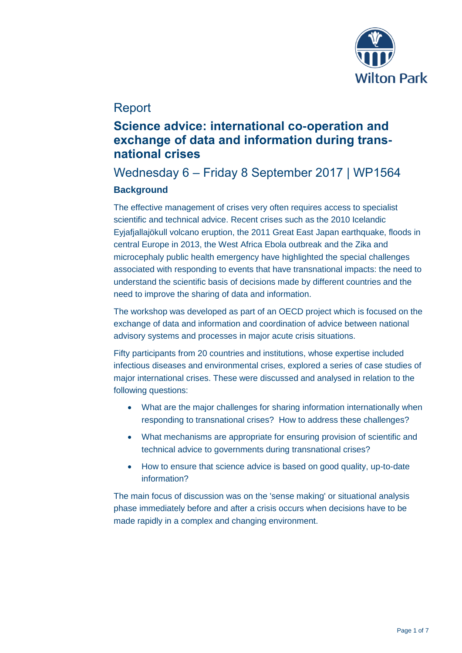

# Report

# **Science advice: international co-operation and exchange of data and information during transnational crises**

# Wednesday 6 – Friday 8 September 2017 | WP1564 **Background**

The effective management of crises very often requires access to specialist scientific and technical advice. Recent crises such as the 2010 Icelandic Eyjafjallajökull volcano eruption, the 2011 Great East Japan earthquake, floods in central Europe in 2013, the West Africa Ebola outbreak and the Zika and microcephaly public health emergency have highlighted the special challenges associated with responding to events that have transnational impacts: the need to understand the scientific basis of decisions made by different countries and the need to improve the sharing of data and information.

The workshop was developed as part of an OECD project which is focused on the exchange of data and information and coordination of advice between national advisory systems and processes in major acute crisis situations.

Fifty participants from 20 countries and institutions, whose expertise included infectious diseases and environmental crises, explored a series of case studies of major international crises. These were discussed and analysed in relation to the following questions:

- What are the major challenges for sharing information internationally when responding to transnational crises? How to address these challenges?
- What mechanisms are appropriate for ensuring provision of scientific and technical advice to governments during transnational crises?
- How to ensure that science advice is based on good quality, up-to-date information?

The main focus of discussion was on the 'sense making' or situational analysis phase immediately before and after a crisis occurs when decisions have to be made rapidly in a complex and changing environment.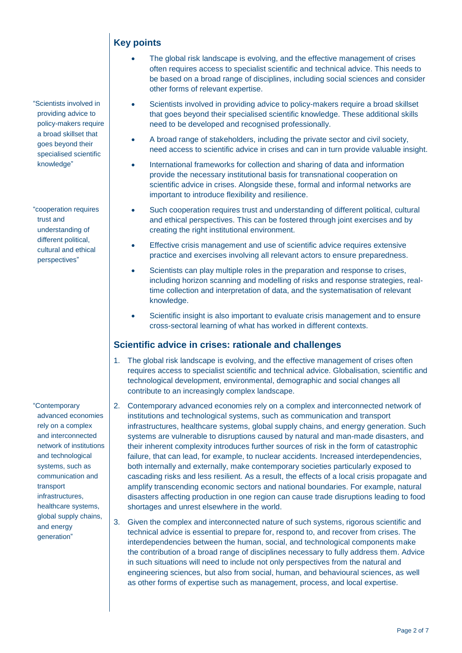"Scientists involved in providing advice to policy-makers require a broad skillset that goes beyond their specialised scientific knowledge"

"cooperation requires trust and understanding of different political, cultural and ethical perspectives"

"Contemporary advanced economies rely on a complex and interconnected network of institutions and technological systems, such as communication and transport infrastructures, healthcare systems, global supply chains, and energy generation"

## **Key points**

- The global risk landscape is evolving, and the effective management of crises often requires access to specialist scientific and technical advice. This needs to be based on a broad range of disciplines, including social sciences and consider other forms of relevant expertise.
- Scientists involved in providing advice to policy-makers require a broad skillset that goes beyond their specialised scientific knowledge. These additional skills need to be developed and recognised professionally.
- A broad range of stakeholders, including the private sector and civil society, need access to scientific advice in crises and can in turn provide valuable insight.
- International frameworks for collection and sharing of data and information provide the necessary institutional basis for transnational cooperation on scientific advice in crises. Alongside these, formal and informal networks are important to introduce flexibility and resilience.
- Such cooperation requires trust and understanding of different political, cultural and ethical perspectives. This can be fostered through joint exercises and by creating the right institutional environment.
- Effective crisis management and use of scientific advice requires extensive practice and exercises involving all relevant actors to ensure preparedness.
- Scientists can play multiple roles in the preparation and response to crises, including horizon scanning and modelling of risks and response strategies, realtime collection and interpretation of data, and the systematisation of relevant knowledge.
- Scientific insight is also important to evaluate crisis management and to ensure cross-sectoral learning of what has worked in different contexts.

## **Scientific advice in crises: rationale and challenges**

- 1. The global risk landscape is evolving, and the effective management of crises often requires access to specialist scientific and technical advice. Globalisation, scientific and technological development, environmental, demographic and social changes all contribute to an increasingly complex landscape.
- 2. Contemporary advanced economies rely on a complex and interconnected network of institutions and technological systems, such as communication and transport infrastructures, healthcare systems, global supply chains, and energy generation. Such systems are vulnerable to disruptions caused by natural and man-made disasters, and their inherent complexity introduces further sources of risk in the form of catastrophic failure, that can lead, for example, to nuclear accidents. Increased interdependencies, both internally and externally, make contemporary societies particularly exposed to cascading risks and less resilient. As a result, the effects of a local crisis propagate and amplify transcending economic sectors and national boundaries. For example, natural disasters affecting production in one region can cause trade disruptions leading to food shortages and unrest elsewhere in the world.
- 3. Given the complex and interconnected nature of such systems, rigorous scientific and technical advice is essential to prepare for, respond to, and recover from crises. The interdependencies between the human, social, and technological components make the contribution of a broad range of disciplines necessary to fully address them. Advice in such situations will need to include not only perspectives from the natural and engineering sciences, but also from social, human, and behavioural sciences, as well as other forms of expertise such as management, process, and local expertise.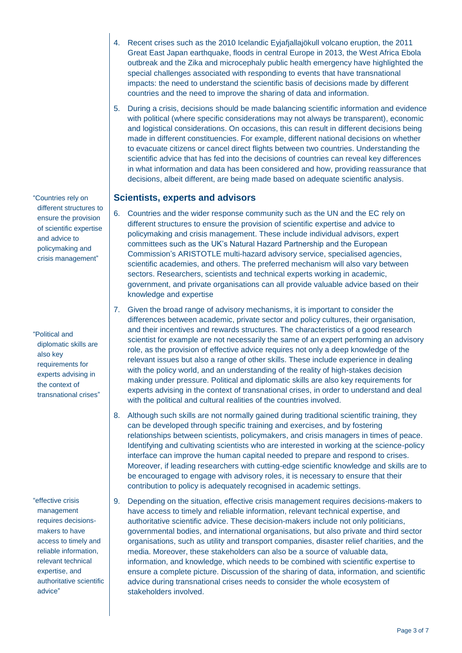- 4. Recent crises such as the 2010 Icelandic Eyjafjallajökull volcano eruption, the 2011 Great East Japan earthquake, floods in central Europe in 2013, the West Africa Ebola outbreak and the Zika and microcephaly public health emergency have highlighted the special challenges associated with responding to events that have transnational impacts: the need to understand the scientific basis of decisions made by different countries and the need to improve the sharing of data and information.
- 5. During a crisis, decisions should be made balancing scientific information and evidence with political (where specific considerations may not always be transparent), economic and logistical considerations. On occasions, this can result in different decisions being made in different constituencies. For example, different national decisions on whether to evacuate citizens or cancel direct flights between two countries. Understanding the scientific advice that has fed into the decisions of countries can reveal key differences in what information and data has been considered and how, providing reassurance that decisions, albeit different, are being made based on adequate scientific analysis.

### **Scientists, experts and advisors**

- 6. Countries and the wider response community such as the UN and the EC rely on different structures to ensure the provision of scientific expertise and advice to policymaking and crisis management. These include individual advisors, expert committees such as the UK's Natural Hazard Partnership and the European Commission's ARISTOTLE multi-hazard advisory service, specialised agencies, scientific academies, and others. The preferred mechanism will also vary between sectors. Researchers, scientists and technical experts working in academic, government, and private organisations can all provide valuable advice based on their knowledge and expertise
- 7. Given the broad range of advisory mechanisms, it is important to consider the differences between academic, private sector and policy cultures, their organisation, and their incentives and rewards structures. The characteristics of a good research scientist for example are not necessarily the same of an expert performing an advisory role, as the provision of effective advice requires not only a deep knowledge of the relevant issues but also a range of other skills. These include experience in dealing with the policy world, and an understanding of the reality of high-stakes decision making under pressure. Political and diplomatic skills are also key requirements for experts advising in the context of transnational crises, in order to understand and deal with the political and cultural realities of the countries involved.
- 8. Although such skills are not normally gained during traditional scientific training, they can be developed through specific training and exercises, and by fostering relationships between scientists, policymakers, and crisis managers in times of peace. Identifying and cultivating scientists who are interested in working at the science-policy interface can improve the human capital needed to prepare and respond to crises. Moreover, if leading researchers with cutting-edge scientific knowledge and skills are to be encouraged to engage with advisory roles, it is necessary to ensure that their contribution to policy is adequately recognised in academic settings.
- 9. Depending on the situation, effective crisis management requires decisions-makers to have access to timely and reliable information, relevant technical expertise, and authoritative scientific advice. These decision-makers include not only politicians, governmental bodies, and international organisations, but also private and third sector organisations, such as utility and transport companies, disaster relief charities, and the media. Moreover, these stakeholders can also be a source of valuable data, information, and knowledge, which needs to be combined with scientific expertise to ensure a complete picture. Discussion of the sharing of data, information, and scientific advice during transnational crises needs to consider the whole ecosystem of stakeholders involved.

"Countries rely on different structures to ensure the provision of scientific expertise and advice to policymaking and crisis management"

"Political and diplomatic skills are also key requirements for experts advising in the context of transnational crises"

"effective crisis management requires decisionsmakers to have access to timely and reliable information, relevant technical expertise, and authoritative scientific advice"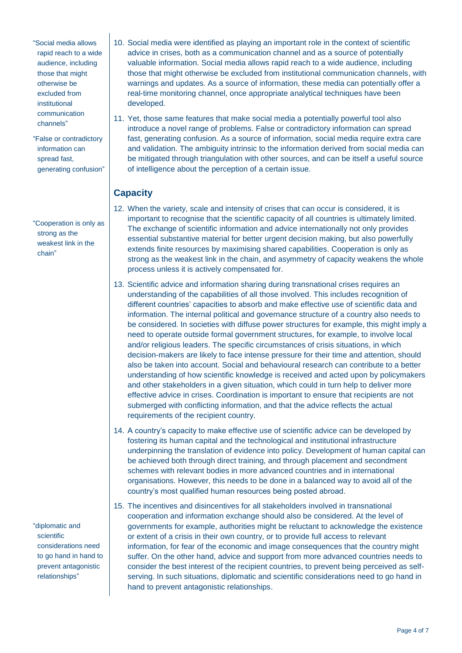"Social media allows rapid reach to a wide audience, including those that might otherwise be excluded from inetitutional communication channels"

"False or contradictory information can spread fast, generating confusion"

"Cooperation is only as strong as the weakest link in the chain"

"diplomatic and scientific considerations need to go hand in hand to prevent antagonistic relationships"

- 10. Social media were identified as playing an important role in the context of scientific advice in crises, both as a communication channel and as a source of potentially valuable information. Social media allows rapid reach to a wide audience, including those that might otherwise be excluded from institutional communication channels, with warnings and updates. As a source of information, these media can potentially offer a real-time monitoring channel, once appropriate analytical techniques have been developed.
- 11. Yet, those same features that make social media a potentially powerful tool also introduce a novel range of problems. False or contradictory information can spread fast, generating confusion. As a source of information, social media require extra care and validation. The ambiguity intrinsic to the information derived from social media can be mitigated through triangulation with other sources, and can be itself a useful source of intelligence about the perception of a certain issue.

## **Capacity**

- 12. When the variety, scale and intensity of crises that can occur is considered, it is important to recognise that the scientific capacity of all countries is ultimately limited. The exchange of scientific information and advice internationally not only provides essential substantive material for better urgent decision making, but also powerfully extends finite resources by maximising shared capabilities. Cooperation is only as strong as the weakest link in the chain, and asymmetry of capacity weakens the whole process unless it is actively compensated for.
- 13. Scientific advice and information sharing during transnational crises requires an understanding of the capabilities of all those involved. This includes recognition of different countries' capacities to absorb and make effective use of scientific data and information. The internal political and governance structure of a country also needs to be considered. In societies with diffuse power structures for example, this might imply a need to operate outside formal government structures, for example, to involve local and/or religious leaders. The specific circumstances of crisis situations, in which decision-makers are likely to face intense pressure for their time and attention, should also be taken into account. Social and behavioural research can contribute to a better understanding of how scientific knowledge is received and acted upon by policymakers and other stakeholders in a given situation, which could in turn help to deliver more effective advice in crises. Coordination is important to ensure that recipients are not submerged with conflicting information, and that the advice reflects the actual requirements of the recipient country.
- 14. A country's capacity to make effective use of scientific advice can be developed by fostering its human capital and the technological and institutional infrastructure underpinning the translation of evidence into policy. Development of human capital can be achieved both through direct training, and through placement and secondment schemes with relevant bodies in more advanced countries and in international organisations. However, this needs to be done in a balanced way to avoid all of the country's most qualified human resources being posted abroad.
- 15. The incentives and disincentives for all stakeholders involved in transnational cooperation and information exchange should also be considered. At the level of governments for example, authorities might be reluctant to acknowledge the existence or extent of a crisis in their own country, or to provide full access to relevant information, for fear of the economic and image consequences that the country might suffer. On the other hand, advice and support from more advanced countries needs to consider the best interest of the recipient countries, to prevent being perceived as selfserving. In such situations, diplomatic and scientific considerations need to go hand in hand to prevent antagonistic relationships.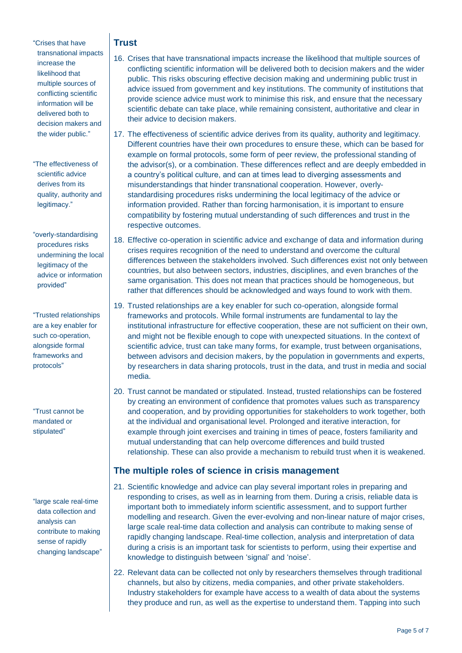"Crises that have transnational impacts increase the likelihood that multiple sources of conflicting scientific information will be delivered both to decision makers and the wider public."

"The effectiveness of scientific advice derives from its quality, authority and legitimacy."

"overly-standardising procedures risks undermining the local legitimacy of the advice or information provided"

"Trusted relationships are a key enabler for such co-operation, alongside formal frameworks and protocols"

"Trust cannot be mandated or stipulated"

"large scale real-time data collection and analysis can contribute to making sense of rapidly changing landscape"

## **Trust**

- 16. Crises that have transnational impacts increase the likelihood that multiple sources of conflicting scientific information will be delivered both to decision makers and the wider public. This risks obscuring effective decision making and undermining public trust in advice issued from government and key institutions. The community of institutions that provide science advice must work to minimise this risk, and ensure that the necessary scientific debate can take place, while remaining consistent, authoritative and clear in their advice to decision makers.
- 17. The effectiveness of scientific advice derives from its quality, authority and legitimacy. Different countries have their own procedures to ensure these, which can be based for example on formal protocols, some form of peer review, the professional standing of the advisor(s), or a combination. These differences reflect and are deeply embedded in a country's political culture, and can at times lead to diverging assessments and misunderstandings that hinder transnational cooperation. However, overlystandardising procedures risks undermining the local legitimacy of the advice or information provided. Rather than forcing harmonisation, it is important to ensure compatibility by fostering mutual understanding of such differences and trust in the respective outcomes.
- 18. Effective co-operation in scientific advice and exchange of data and information during crises requires recognition of the need to understand and overcome the cultural differences between the stakeholders involved. Such differences exist not only between countries, but also between sectors, industries, disciplines, and even branches of the same organisation. This does not mean that practices should be homogeneous, but rather that differences should be acknowledged and ways found to work with them.
- 19. Trusted relationships are a key enabler for such co-operation, alongside formal frameworks and protocols. While formal instruments are fundamental to lay the institutional infrastructure for effective cooperation, these are not sufficient on their own, and might not be flexible enough to cope with unexpected situations. In the context of scientific advice, trust can take many forms, for example, trust between organisations, between advisors and decision makers, by the population in governments and experts, by researchers in data sharing protocols, trust in the data, and trust in media and social media.
- 20. Trust cannot be mandated or stipulated. Instead, trusted relationships can be fostered by creating an environment of confidence that promotes values such as transparency and cooperation, and by providing opportunities for stakeholders to work together, both at the individual and organisational level. Prolonged and iterative interaction, for example through joint exercises and training in times of peace, fosters familiarity and mutual understanding that can help overcome differences and build trusted relationship. These can also provide a mechanism to rebuild trust when it is weakened.

## **The multiple roles of science in crisis management**

- 21. Scientific knowledge and advice can play several important roles in preparing and responding to crises, as well as in learning from them. During a crisis, reliable data is important both to immediately inform scientific assessment, and to support further modelling and research. Given the ever-evolving and non-linear nature of major crises, large scale real-time data collection and analysis can contribute to making sense of rapidly changing landscape. Real-time collection, analysis and interpretation of data during a crisis is an important task for scientists to perform, using their expertise and knowledge to distinguish between 'signal' and 'noise'.
- 22. Relevant data can be collected not only by researchers themselves through traditional channels, but also by citizens, media companies, and other private stakeholders. Industry stakeholders for example have access to a wealth of data about the systems they produce and run, as well as the expertise to understand them. Tapping into such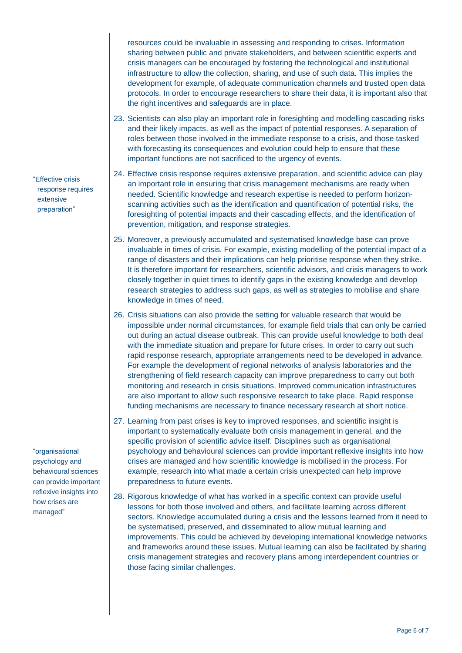resources could be invaluable in assessing and responding to crises. Information sharing between public and private stakeholders, and between scientific experts and crisis managers can be encouraged by fostering the technological and institutional infrastructure to allow the collection, sharing, and use of such data. This implies the development for example, of adequate communication channels and trusted open data protocols. In order to encourage researchers to share their data, it is important also that the right incentives and safeguards are in place.

- 23. Scientists can also play an important role in foresighting and modelling cascading risks and their likely impacts, as well as the impact of potential responses. A separation of roles between those involved in the immediate response to a crisis, and those tasked with forecasting its consequences and evolution could help to ensure that these important functions are not sacrificed to the urgency of events.
- 24. Effective crisis response requires extensive preparation, and scientific advice can play an important role in ensuring that crisis management mechanisms are ready when needed. Scientific knowledge and research expertise is needed to perform horizonscanning activities such as the identification and quantification of potential risks, the foresighting of potential impacts and their cascading effects, and the identification of prevention, mitigation, and response strategies.
- 25. Moreover, a previously accumulated and systematised knowledge base can prove invaluable in times of crisis. For example, existing modelling of the potential impact of a range of disasters and their implications can help prioritise response when they strike. It is therefore important for researchers, scientific advisors, and crisis managers to work closely together in quiet times to identify gaps in the existing knowledge and develop research strategies to address such gaps, as well as strategies to mobilise and share knowledge in times of need.
- 26. Crisis situations can also provide the setting for valuable research that would be impossible under normal circumstances, for example field trials that can only be carried out during an actual disease outbreak. This can provide useful knowledge to both deal with the immediate situation and prepare for future crises. In order to carry out such rapid response research, appropriate arrangements need to be developed in advance. For example the development of regional networks of analysis laboratories and the strengthening of field research capacity can improve preparedness to carry out both monitoring and research in crisis situations. Improved communication infrastructures are also important to allow such responsive research to take place. Rapid response funding mechanisms are necessary to finance necessary research at short notice.
- 27. Learning from past crises is key to improved responses, and scientific insight is important to systematically evaluate both crisis management in general, and the specific provision of scientific advice itself. Disciplines such as organisational psychology and behavioural sciences can provide important reflexive insights into how crises are managed and how scientific knowledge is mobilised in the process. For example, research into what made a certain crisis unexpected can help improve preparedness to future events.
- 28. Rigorous knowledge of what has worked in a specific context can provide useful lessons for both those involved and others, and facilitate learning across different sectors. Knowledge accumulated during a crisis and the lessons learned from it need to be systematised, preserved, and disseminated to allow mutual learning and improvements. This could be achieved by developing international knowledge networks and frameworks around these issues. Mutual learning can also be facilitated by sharing crisis management strategies and recovery plans among interdependent countries or those facing similar challenges.

"Effective crisis response requires extensive preparation"

"organisational psychology and behavioural sciences can provide important reflexive insights into how crises are managed"